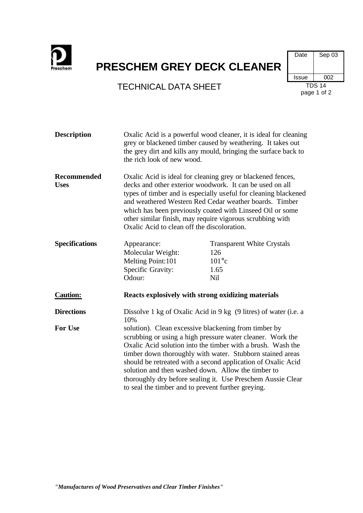

## **PRESCHEM GREY DECK CLEANER**

## TECHNICAL DATA SHEET TDS 14



| <b>Description</b>         | Oxalic Acid is a powerful wood cleaner, it is ideal for cleaning<br>grey or blackened timber caused by weathering. It takes out<br>the grey dirt and kills any mould, bringing the surface back to<br>the rich look of new wood.                                                                                                                                                                                                                                                          |                                                                           |  |
|----------------------------|-------------------------------------------------------------------------------------------------------------------------------------------------------------------------------------------------------------------------------------------------------------------------------------------------------------------------------------------------------------------------------------------------------------------------------------------------------------------------------------------|---------------------------------------------------------------------------|--|
| Recommended<br><b>Uses</b> | Oxalic Acid is ideal for cleaning grey or blackened fences,<br>decks and other exterior woodwork. It can be used on all<br>types of timber and is especially useful for cleaning blackened<br>and weathered Western Red Cedar weather boards. Timber<br>which has been previously coated with Linseed Oil or some<br>other similar finish, may require vigorous scrubbing with<br>Oxalic Acid to clean off the discoloration.                                                             |                                                                           |  |
| <b>Specifications</b>      | Appearance:<br>Molecular Weight:<br>Melting Point:101<br>Specific Gravity:<br>Odour:                                                                                                                                                                                                                                                                                                                                                                                                      | <b>Transparent White Crystals</b><br>126<br>$101^{\circ}c$<br>1.65<br>Nil |  |
| <b>Caution:</b>            |                                                                                                                                                                                                                                                                                                                                                                                                                                                                                           | Reacts explosively with strong oxidizing materials                        |  |
| <b>Directions</b>          | Dissolve 1 kg of Oxalic Acid in 9 kg (9 litres) of water (i.e. a<br>10%                                                                                                                                                                                                                                                                                                                                                                                                                   |                                                                           |  |
| <b>For Use</b>             | solution). Clean excessive blackening from timber by<br>scrubbing or using a high pressure water cleaner. Work the<br>Oxalic Acid solution into the timber with a brush. Wash the<br>timber down thoroughly with water. Stubborn stained areas<br>should be retreated with a second application of Oxalic Acid<br>solution and then washed down. Allow the timber to<br>thoroughly dry before sealing it. Use Preschem Aussie Clear<br>to seal the timber and to prevent further greying. |                                                                           |  |